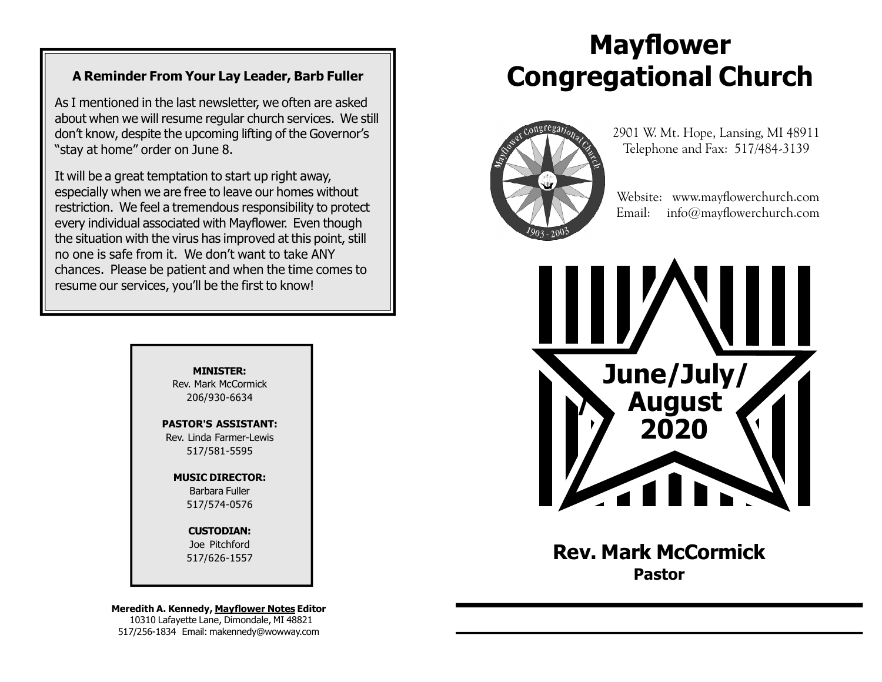#### A Reminder From Your Lay Leader, Barb Fuller

As I mentioned in the last newsletter, we often are asked about when we will resume regular church services. We still don't know, despite the upcoming lifting of the Governor's "stay at home" order on June 8.

It will be a great temptation to start up right away, especially when we are free to leave our homes without restriction. We feel a tremendous responsibility to protect every individual associated with Mayflower. Even though the situation with the virus has improved at this point, still no one is safe from it. We don't want to take ANY chances. Please be patient and when the time comes to resume our services, you'll be the first to know!

> MINISTER: Rev. Mark McCormick 206/930-6634

PASTOR'S ASSISTANT: Rev. Linda Farmer-Lewis 517/581-5595

> MUSIC DIRECTOR: Barbara Fuller 517/574-0576

> > CUSTODIAN: Joe Pitchford 517/626-1557

Meredith A. Kennedy, Mayflower Notes Editor 10310 Lafayette Lane, Dimondale, MI 48821 517/256-1834 Email: makennedy@wowway.com

# Mayflower Congregational Church



 2901 W. Mt. Hope, Lansing, MI 48911 Telephone and Fax: 517/484-3139

 Website: www.mayflowerchurch.com Email: info@mayflowerchurch.com



Rev. Mark McCormick Pastor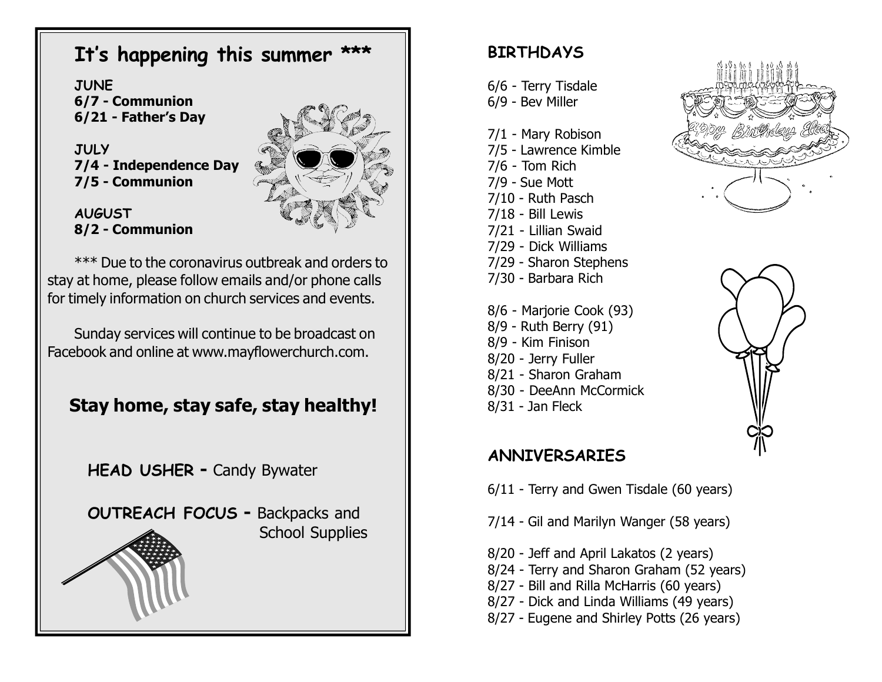# It's happening this summer

**JUNE** 6/7 - Communion 6/21 - Father's Day

**JULY** 7/4 - Independence Day 7/5 - Communion

AUGUST 8/2 - Communion



\*\*\* Due to the coronavirus outbreak and orders to stay at home, please follow emails and/or phone calls for timely information on church services and events.

Sunday services will continue to be broadcast on Facebook and online at www.mayflowerchurch.com.

# Stay home, stay safe, stay healthy!

HEAD USHER - Candy Bywater

OUTREACH FOCUS - Backpacks and School Supplies

## **BIRTHDAYS**

6/6 - Terry Tisdale 6/9 - Bev Miller

- 7/1 Mary Robison
- 7/5 Lawrence Kimble
- 7/6 Tom Rich
- 7/9 Sue Mott
- 7/10 Ruth Pasch
- 7/18 Bill Lewis
- 7/21 Lillian Swaid
- 7/29 Dick Williams
- 7/29 Sharon Stephens
- 7/30 Barbara Rich
- 8/6 Marjorie Cook (93) 8/9 - Ruth Berry (91) 8/9 - Kim Finison 8/20 - Jerry Fuller 8/21 - Sharon Graham
- 8/30 DeeAnn McCormick
- 8/31 Jan Fleck





### ANNIVERSARIES

6/11 - Terry and Gwen Tisdale (60 years)

- 7/14 Gil and Marilyn Wanger (58 years)
- 8/20 Jeff and April Lakatos (2 years)
- 8/24 Terry and Sharon Graham (52 years)
- 8/27 Bill and Rilla McHarris (60 years)
- 8/27 Dick and Linda Williams (49 years)
- 8/27 Eugene and Shirley Potts (26 years)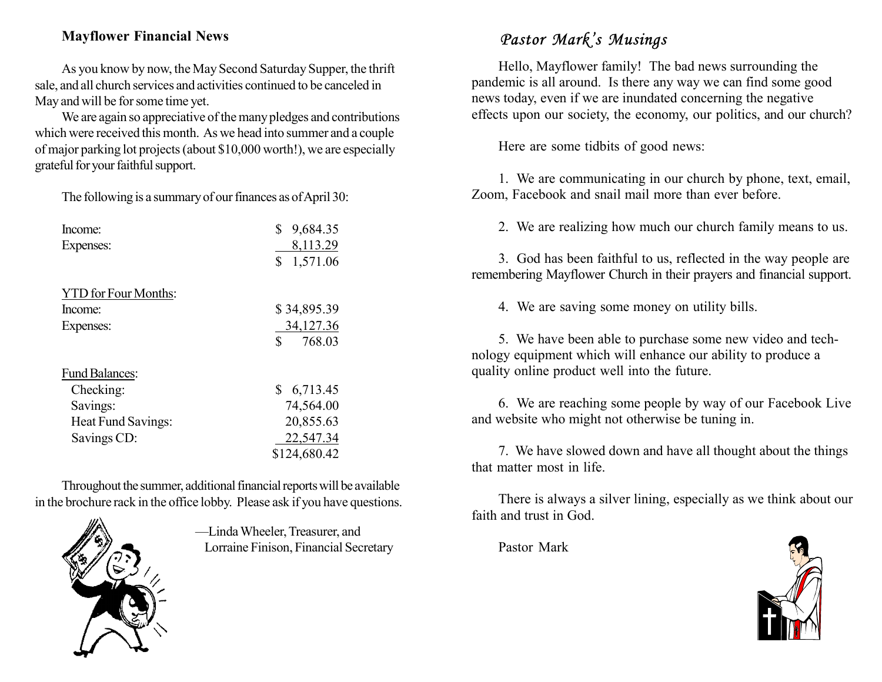#### Mayflower Financial News

As you know by now, the May Second Saturday Supper, the thrift sale, and all church services and activities continued to be canceled in May and will be for some time yet.

We are again so appreciative of the many pledges and contributions which were received this month. As we head into summer and a couple of major parking lot projects (about \$10,000 worth!), we are especially grateful for your faithful support.

The following is a summary of our finances as of April 30:

| Income:                     | \$<br>9,684.35 |
|-----------------------------|----------------|
| Expenses:                   | 8,113.29       |
|                             | \$<br>1,571.06 |
| <b>YTD</b> for Four Months: |                |
| Income:                     | \$34,895.39    |
| Expenses:                   | 34,127.36      |
|                             | \$<br>768.03   |
| <b>Fund Balances:</b>       |                |
| Checking:                   | \$6,713.45     |
| Savings:                    | 74,564.00      |
| Heat Fund Savings:          | 20,855.63      |
| Savings CD:                 | 22,547.34      |
|                             | \$124,680.42   |

Throughout the summer, additional financial reports will be available in the brochure rack in the office lobby. Please ask if you have questions.



—Linda Wheeler, Treasurer, and Lorraine Finison, Financial Secretary

# Pastor Mark's Musings

Hello, Mayflower family! The bad news surrounding the pandemic is all around. Is there any way we can find some good news today, even if we are inundated concerning the negative effects upon our society, the economy, our politics, and our church?

Here are some tidbits of good news:

1. We are communicating in our church by phone, text, email, Zoom, Facebook and snail mail more than ever before.

2. We are realizing how much our church family means to us.

3. God has been faithful to us, reflected in the way people are remembering Mayflower Church in their prayers and financial support.

4. We are saving some money on utility bills.

5. We have been able to purchase some new video and technology equipment which will enhance our ability to produce a quality online product well into the future.

6. We are reaching some people by way of our Facebook Live and website who might not otherwise be tuning in.

7. We have slowed down and have all thought about the things that matter most in life.

There is always a silver lining, especially as we think about our faith and trust in God.

Pastor Mark